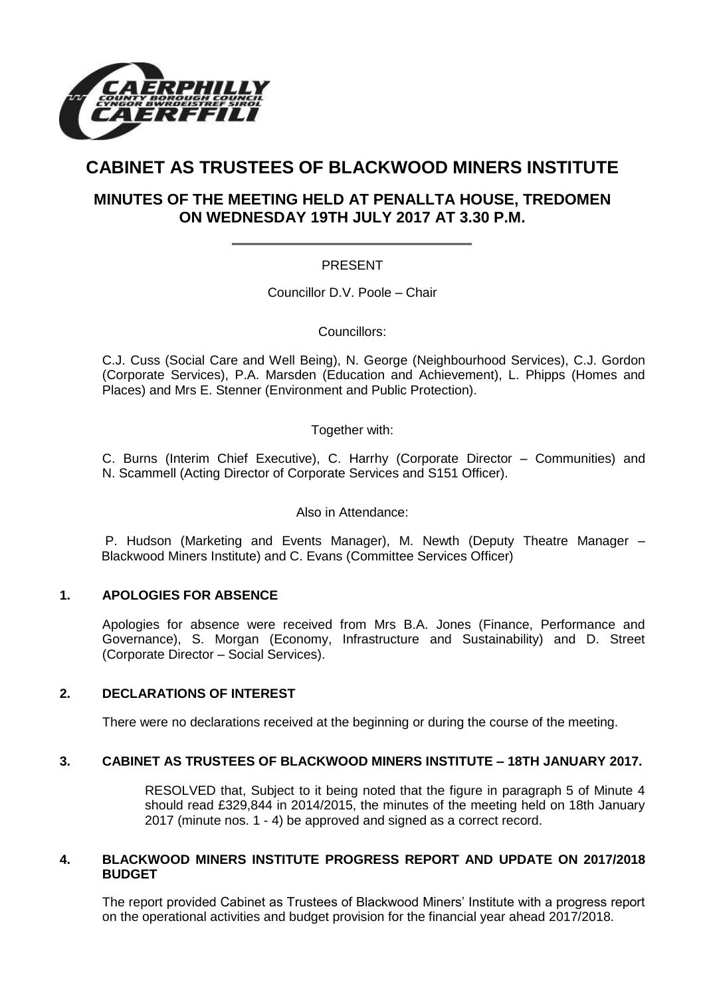

# **CABINET AS TRUSTEES OF BLACKWOOD MINERS INSTITUTE**

# **MINUTES OF THE MEETING HELD AT PENALLTA HOUSE, TREDOMEN ON WEDNESDAY 19TH JULY 2017 AT 3.30 P.M.**

## PRESENT

Councillor D.V. Poole – Chair

Councillors:

C.J. Cuss (Social Care and Well Being), N. George (Neighbourhood Services), C.J. Gordon (Corporate Services), P.A. Marsden (Education and Achievement), L. Phipps (Homes and Places) and Mrs E. Stenner (Environment and Public Protection).

Together with:

C. Burns (Interim Chief Executive), C. Harrhy (Corporate Director – Communities) and N. Scammell (Acting Director of Corporate Services and S151 Officer).

Also in Attendance:

P. Hudson (Marketing and Events Manager), M. Newth (Deputy Theatre Manager – Blackwood Miners Institute) and C. Evans (Committee Services Officer)

#### **1. APOLOGIES FOR ABSENCE**

Apologies for absence were received from Mrs B.A. Jones (Finance, Performance and Governance), S. Morgan (Economy, Infrastructure and Sustainability) and D. Street (Corporate Director – Social Services).

#### **2. DECLARATIONS OF INTEREST**

There were no declarations received at the beginning or during the course of the meeting.

## **3. CABINET AS TRUSTEES OF BLACKWOOD MINERS INSTITUTE – 18TH JANUARY 2017.**

RESOLVED that, Subject to it being noted that the figure in paragraph 5 of Minute 4 should read £329,844 in 2014/2015, the minutes of the meeting held on 18th January 2017 (minute nos. 1 - 4) be approved and signed as a correct record.

#### **4. BLACKWOOD MINERS INSTITUTE PROGRESS REPORT AND UPDATE ON 2017/2018 BUDGET**

The report provided Cabinet as Trustees of Blackwood Miners' Institute with a progress report on the operational activities and budget provision for the financial year ahead 2017/2018.